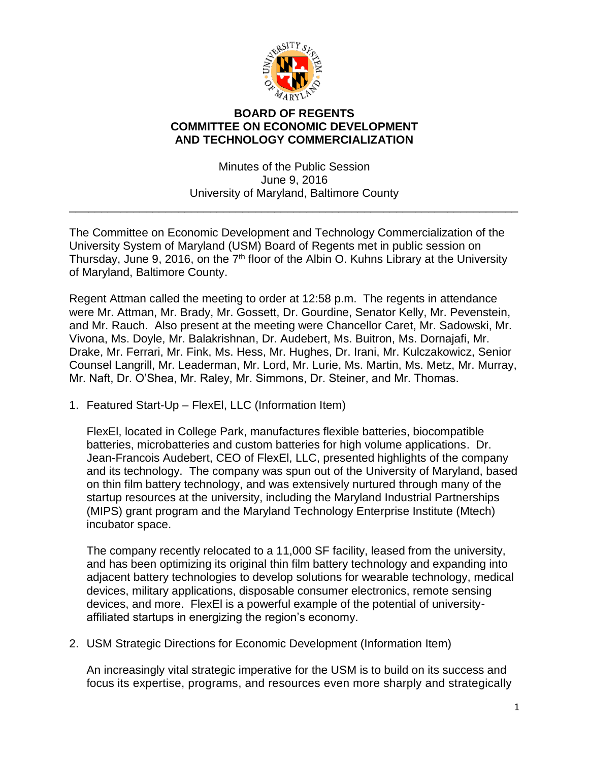

## **BOARD OF REGENTS COMMITTEE ON ECONOMIC DEVELOPMENT AND TECHNOLOGY COMMERCIALIZATION**

Minutes of the Public Session June 9, 2016 University of Maryland, Baltimore County

\_\_\_\_\_\_\_\_\_\_\_\_\_\_\_\_\_\_\_\_\_\_\_\_\_\_\_\_\_\_\_\_\_\_\_\_\_\_\_\_\_\_\_\_\_\_\_\_\_\_\_\_\_\_\_\_\_\_\_\_\_\_\_\_\_\_\_\_\_\_

The Committee on Economic Development and Technology Commercialization of the University System of Maryland (USM) Board of Regents met in public session on Thursday, June 9, 2016, on the 7<sup>th</sup> floor of the Albin O. Kuhns Library at the University of Maryland, Baltimore County.

Regent Attman called the meeting to order at 12:58 p.m. The regents in attendance were Mr. Attman, Mr. Brady, Mr. Gossett, Dr. Gourdine, Senator Kelly, Mr. Pevenstein, and Mr. Rauch. Also present at the meeting were Chancellor Caret, Mr. Sadowski, Mr. Vivona, Ms. Doyle, Mr. Balakrishnan, Dr. Audebert, Ms. Buitron, Ms. Dornajafi, Mr. Drake, Mr. Ferrari, Mr. Fink, Ms. Hess, Mr. Hughes, Dr. Irani, Mr. Kulczakowicz, Senior Counsel Langrill, Mr. Leaderman, Mr. Lord, Mr. Lurie, Ms. Martin, Ms. Metz, Mr. Murray, Mr. Naft, Dr. O'Shea, Mr. Raley, Mr. Simmons, Dr. Steiner, and Mr. Thomas.

1. Featured Start-Up – FlexEl, LLC (Information Item)

FlexEl, located in College Park, manufactures flexible batteries, biocompatible batteries, microbatteries and custom batteries for high volume applications. Dr. Jean-Francois Audebert, CEO of FlexEl, LLC, presented highlights of the company and its technology. The company was spun out of the University of Maryland, based on thin film battery technology, and was extensively nurtured through many of the startup resources at the university, including the Maryland Industrial Partnerships (MIPS) grant program and the Maryland Technology Enterprise Institute (Mtech) incubator space.

The company recently relocated to a 11,000 SF facility, leased from the university, and has been optimizing its original thin film battery technology and expanding into adjacent battery technologies to develop solutions for wearable technology, medical devices, military applications, disposable consumer electronics, remote sensing devices, and more. FlexEl is a powerful example of the potential of universityaffiliated startups in energizing the region's economy.

2. USM Strategic Directions for Economic Development (Information Item)

An increasingly vital strategic imperative for the USM is to build on its success and focus its expertise, programs, and resources even more sharply and strategically